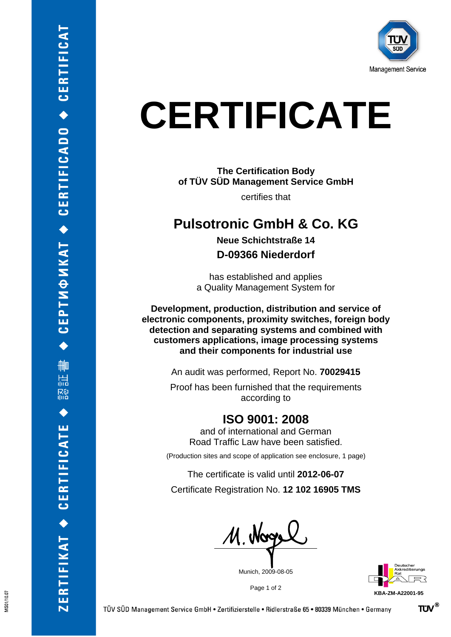

## **CERTIFICATE**

**The Certification Body of TÜV SÜD Management Service GmbH**

certifies that

## **Pulsotronic GmbH & Co. KG**

**Neue Schichtstraße 14 D-09366 Niederdorf**

has established and applies a Quality Management System for

**Development, production, distribution and service of electronic components, proximity switches, foreign body detection and separating systems and combined with customers applications, image processing systems and their components for industrial use**

An audit was performed, Report No. **70029415**

Proof has been furnished that the requirements according to

## **ISO 9001: 2008**

and of international and German Road Traffic Law have been satisfied.

(Production sites and scope of application see enclosure, 1 page)

The certificate is valid until **2012-06-07** Certificate Registration No. **12 102 16905 TMS**

M. Nogel

Munich, 2009-08-05

Page 1 of 2

**KBA-ZM-A22001-95**

VIS01/10.07